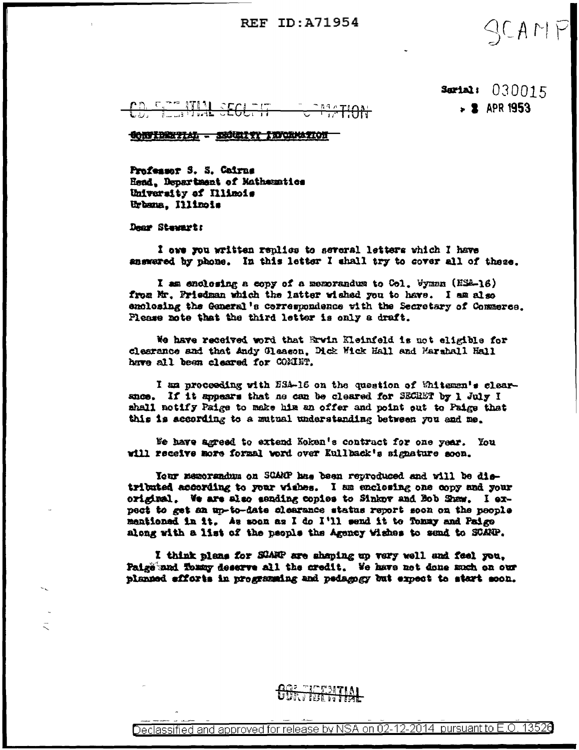# **REF ID: A71954**

 $SCAP$ 

Sertal: 030015  $-2$  APR 1953

CONTINUIAL - SECURITY INCREATION

Professor S. S. Cairns Head, Department of Mathematics University of Illinois Urbana, Illinois

Dear Stewart:

I owe you written replies to several letters which I have answered by phone. In this letter I shall try to cover all of these.

I am enclosing a copy of a memorandum to Col. Wymnn (HSA-16) from Mr. Friedman which the latter wished you to have. I am also emolosing the General's correspondence with the Secretary of Commerce. Please note that the third letter is only a draft.

We have received word that Ervin Kleinfeld is not eligible for clearance and that Andy Gleason. Dick Wick Hall and Marshall Hall have all been cleared for COMINT.

I am proceeding with ESA-16 on the question of Whiteman's clearance. If it sppears that ne can be cleared for SECRET by 1 July I shall notify Paige to make him an offer and point out to Paige that this is according to a mutual understanding between you and me.

We have agreed to extend Koken's contract for one year. You will receive more formal word over Eullback's signature soon.

Your memorandum on SCARP has been reproduced and will be distributed according to your vishes. I am enclosing one copy and your original. We are also sanding copies to Sinkov and Bob Shaw. I expect to get an up-to-date clearance status report soon on the people mentioned in it. As soon as I do I'll send it to Tonny and Paige along with a list of the people the Agency Wishes to send to SCANP.

I think plans for SDARP are shaping up very well and feel you, Paige and Tommy deserve all the credit. We have not done much on our planned efforts in programing and pedagogy but expect to start soon.

# **ATIOTALIA**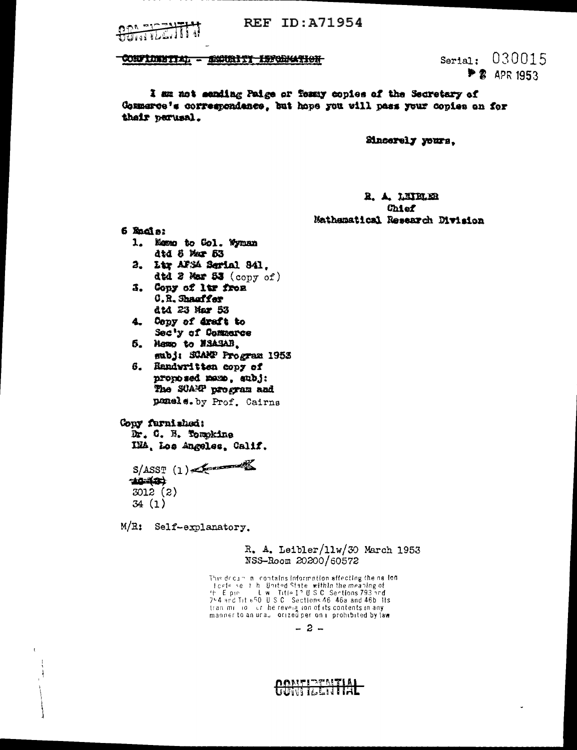יים החם  $\frac{1}{2}$  **REF ID: A71954** 

#### CONFIDENTIAL - SECONDITI INFORMATION

Serial: 030015 **P 2** APR 1953

I am not eanding Paige or Tomay copies of the Secretary of Commerce's correspondance, but hope you will pass your copies on for thair nerusal.

Sincerely yours.

## R. A. LEIELER **Chief** Mathematical Research Division

 $6$   $%$   $6$   $3$ 

- 1. Memo to Gol. Wyman dtd 5 Mar 53
- 2. Ltr AFSA Serial 841. dtd 2 Mar 53 (copy of)
- 5. Copy of lim from **C.R. Shauffer** dtd 23 Mar 53
- 4. Copy of draft to Sec'y of Commerce

5. Maxo to NSASAB. subj: SCAMP Program 1953

6. Randwritten copy of proposed mame, subj: The SCARP program and panels. by Prof. Cairns

#### Copy furnished:

Dr. C. N. Tomokine IMA, Los Angeles, Calif.

 $S/ASST$  (1) 44-421 3012 (2)  $34(1)$ 

M/R: Self-explanatory.

### R. A. Leibler/11w/30 March 1953 NSS-Room 20200/60572

This decam in contains information affecting the nailon Fiche see the United State within the meaning of<br>the Episode sections of the Capital State within the meaning of<br>7-4 and Lite50, U.S.C. Sections 46, 46a and 46b. Its tran millio or he revelation of its contents in any manner to an ural orized per only prohibited by law

 $-2-$